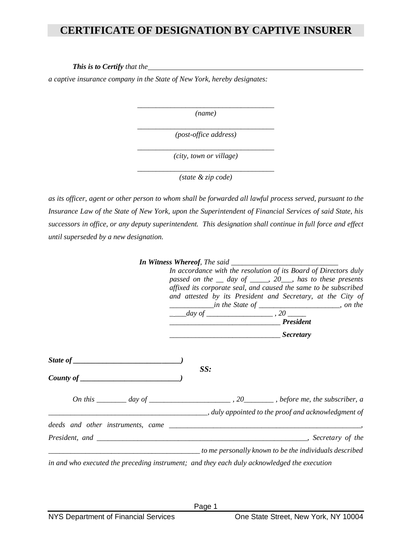## **CERTIFICATE OF DESIGNATION BY CAPTIVE INSURER**

*This is to Certify that the* 

 *a captive insurance company in the State of New York, hereby designates:* 

*\_\_\_\_\_\_\_\_\_\_\_\_\_\_\_\_\_\_\_\_\_\_\_\_\_\_\_\_\_\_\_\_\_\_\_\_\_ (name)* 

 *(post-office address) \_\_\_\_\_\_\_\_\_\_\_\_\_\_\_\_\_\_\_\_\_\_\_\_\_\_\_\_\_\_\_\_\_\_\_\_\_* 

 *(city, town or village) \_\_\_\_\_\_\_\_\_\_\_\_\_\_\_\_\_\_\_\_\_\_\_\_\_\_\_\_\_\_\_\_\_\_\_\_\_* 

 *(state & zip code) \_\_\_\_\_\_\_\_\_\_\_\_\_\_\_\_\_\_\_\_\_\_\_\_\_\_\_\_\_\_\_\_\_\_\_\_\_* 

 *as its officer, agent or other person to whom shall be forwarded all lawful process served, pursuant to the Insurance Law of the State of New York, upon the Superintendent of Financial Services of said State, his successors in office, or any deputy superintendent. This designation shall continue in full force and effect until superseded by a new designation.* 

| In accordance with the resolution of its Board of Directors duly<br>passed on the $\equiv$ day of $\equiv$ 20, has to these presents<br>affixed its corporate seal, and caused the same to be subscribed<br>and attested by its President and Secretary, at the City of<br><i>_______________in the State of ________________________</i> , on the<br>$\frac{day \text{ of }$ $\frac{1}{2}$ , 20 |  |
|--------------------------------------------------------------------------------------------------------------------------------------------------------------------------------------------------------------------------------------------------------------------------------------------------------------------------------------------------------------------------------------------------|--|
| <u>1. Secretary</u>                                                                                                                                                                                                                                                                                                                                                                              |  |
| SS:                                                                                                                                                                                                                                                                                                                                                                                              |  |
| On this $\_\_\_\_\_$ day of $\_\_\_\_\_\_\_$ , 20 $\_\_\_\_\_$ , before me, the subscriber, a                                                                                                                                                                                                                                                                                                    |  |
| ally appointed to the proof and acknowledgment of                                                                                                                                                                                                                                                                                                                                                |  |
|                                                                                                                                                                                                                                                                                                                                                                                                  |  |
|                                                                                                                                                                                                                                                                                                                                                                                                  |  |
| to me personally known to be the individuals described                                                                                                                                                                                                                                                                                                                                           |  |
| in and who executed the preceding instrument; and they each duly acknowledged the execution                                                                                                                                                                                                                                                                                                      |  |